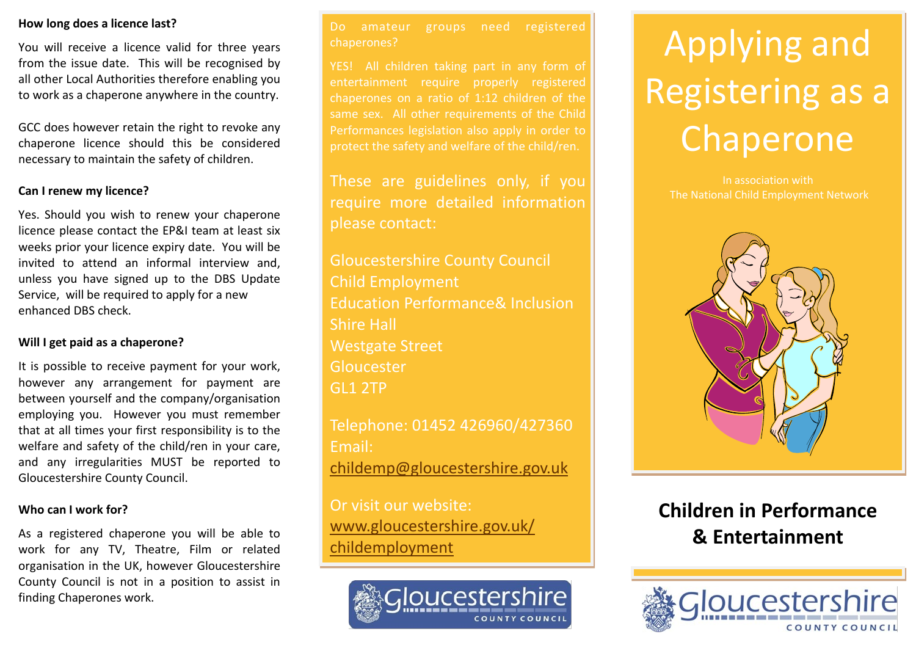#### **How long does a licence last?**

You will receive a licence valid for three years from the issue date. This will be recognised by all other Local Authorities therefore enabling you to work as a chaperone anywhere in the country.

GCC does however retain the right to revoke any chaperone licence should this be considered necessary to maintain the safety of children.

#### **Can I renew my licence?**

Yes. Should you wish to renew your chaperone licence please contact the EP&I team at least six weeks prior your licence expiry date. You will be invited to attend an informal interview and, unless you have signed up to the DBS Update Service, will be required to apply for a new enhanced DBS check.

#### **Will I get paid as a chaperone?**

It is possible to receive payment for your work, however any arrangement for payment are between yourself and the company/organisation employing you. However you must remember that at all times your first responsibility is to the welfare and safety of the child/ren in your care, and any irregularities MUST be reported to Gloucestershire County Council.

#### **Who can I work for?**

As a registered chaperone you will be able to work for any TV, Theatre, Film or related organisation in the UK, however Gloucestershire County Council is not in a position to assist in finding Chaperones work.

Do amateur groups need registered chaperones?

entertainment require properly registered chaperones on a ratio of 1:12 children of the same sex. All other requirements of the Child Performances legislation also apply in order to protect the safety and welfare of the child/ren.

These are guidelines only, if you require more detailed information please contact:

Gloucestershire County Council Child Employment Education Performance& Inclusion Shire Hall Westgate Street Gloucester GL1 2TP

Telephone: 01452 426960/427360 Email: [childemp@gloucestershire.gov.uk](mailto:childemp@gloucestershire.gov.uk)

Or visit our website: [www.gloucestershire.gov.uk/](http://www.gloucestershire.gov.uk/childemployment) [childemployment](http://www.gloucestershire.gov.uk/childemployment)



# Applying and Registering as a Chaperone

In association with The National Child Employment Network



# **Children in Performance & Entertainment**